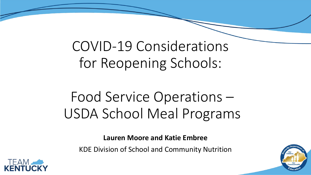COVID-19 Considerations for Reopening Schools:

## Food Service Operations – USDA School Meal Programs

**Lauren Moore and Katie Embree**

KDE Division of School and Community Nutrition



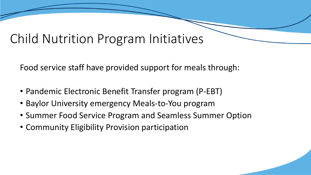#### Child Nutrition Program Initiatives

Food service staff have provided support for meals through:

- Pandemic Electronic Benefit Transfer program (P-EBT)
- Baylor University emergency Meals-to-You program
- Summer Food Service Program and Seamless Summer Option
- Community Eligibility Provision participation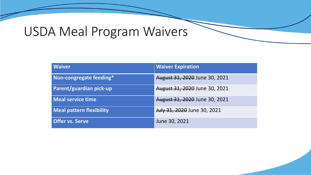## USDA Meal Program Waivers

| <b>Waiver</b>                   | <b>Waiver Expiration</b>      |
|---------------------------------|-------------------------------|
| Non-congregate feeding*         | August 31, 2020 June 30, 2021 |
| <b>Parent/guardian pick-up</b>  | August 31, 2020 June 30, 2021 |
| Meal service time               | August 31, 2020 June 30, 2021 |
| <b>Meal pattern flexibility</b> | July 31, 2020 June 30, 2021   |
| <b>Offer vs. Serve</b>          | June 30, 2021                 |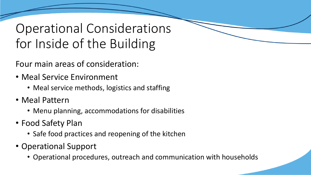## Operational Considerations for Inside of the Building

Four main areas of consideration:

- Meal Service Environment
	- Meal service methods, logistics and staffing
- Meal Pattern
	- Menu planning, accommodations for disabilities
- Food Safety Plan
	- Safe food practices and reopening of the kitchen
- Operational Support
	- Operational procedures, outreach and communication with households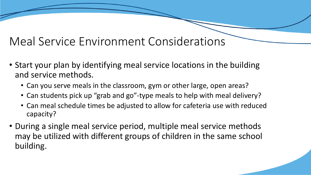#### Meal Service Environment Considerations

- Start your plan by identifying meal service locations in the building and service methods.
	- Can you serve meals in the classroom, gym or other large, open areas?
	- Can students pick up "grab and go"-type meals to help with meal delivery?
	- Can meal schedule times be adjusted to allow for cafeteria use with reduced capacity?
- During a single meal service period, multiple meal service methods may be utilized with different groups of children in the same school building.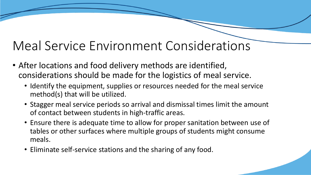## Meal Service Environment Considerations

- After locations and food delivery methods are identified, considerations should be made for the logistics of meal service.
	- Identify the equipment, supplies or resources needed for the meal service method(s) that will be utilized.
	- Stagger meal service periods so arrival and dismissal times limit the amount of contact between students in high-traffic areas.
	- Ensure there is adequate time to allow for proper sanitation between use of tables or other surfaces where multiple groups of students might consume meals.
	- Eliminate self-service stations and the sharing of any food.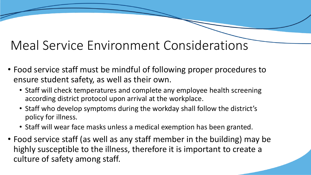## Meal Service Environment Considerations

- Food service staff must be mindful of following proper procedures to ensure student safety, as well as their own.
	- Staff will check temperatures and complete any employee health screening according district protocol upon arrival at the workplace.
	- Staff who develop symptoms during the workday shall follow the district's policy for illness.
	- Staff will wear face masks unless a medical exemption has been granted.
- Food service staff (as well as any staff member in the building) may be highly susceptible to the illness, therefore it is important to create a culture of safety among staff.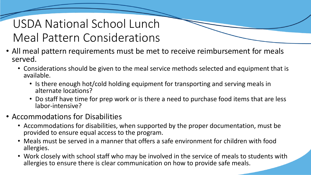#### USDA National School Lunch Meal Pattern Considerations

- All meal pattern requirements must be met to receive reimbursement for meals served.
	- Considerations should be given to the meal service methods selected and equipment that is available.
		- Is there enough hot/cold holding equipment for transporting and serving meals in alternate locations?
		- Do staff have time for prep work or is there a need to purchase food items that are less labor-intensive?
- Accommodations for Disabilities
	- Accommodations for disabilities, when supported by the proper documentation, must be provided to ensure equal access to the program.
	- Meals must be served in a manner that offers a safe environment for children with food allergies.
	- Work closely with school staff who may be involved in the service of meals to students with allergies to ensure there is clear communication on how to provide safe meals.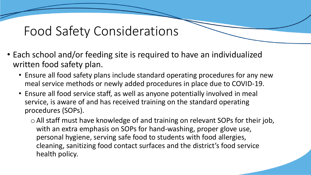#### Food Safety Considerations

- Each school and/or feeding site is required to have an individualized written food safety plan.
	- Ensure all food safety plans include standard operating procedures for any new meal service methods or newly added procedures in place due to COVID-19.
	- Ensure all food service staff, as well as anyone potentially involved in meal service, is aware of and has received training on the standard operating procedures (SOPs).
		- oAll staff must have knowledge of and training on relevant SOPs for their job, with an extra emphasis on SOPs for hand-washing, proper glove use, personal hygiene, serving safe food to students with food allergies, cleaning, sanitizing food contact surfaces and the district's food service health policy.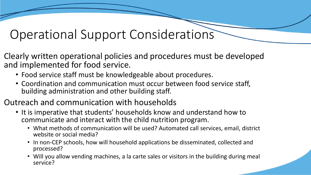#### Operational Support Considerations

Clearly written operational policies and procedures must be developed and implemented for food service.

- Food service staff must be knowledgeable about procedures.
- Coordination and communication must occur between food service staff, building administration and other building staff.
- Outreach and communication with households
	- It is imperative that students' households know and understand how to communicate and interact with the child nutrition program.
		- What methods of communication will be used? Automated call services, email, district website or social media?
		- In non-CEP schools, how will household applications be disseminated, collected and processed?
		- Will you allow vending machines, a la carte sales or visitors in the building during meal service?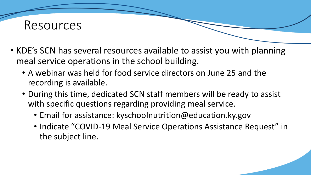

- KDE's SCN has several resources available to assist you with planning meal service operations in the school building.
	- A webinar was held for food service directors on June 25 and the recording is available.
	- During this time, dedicated SCN staff members will be ready to assist with specific questions regarding providing meal service.
		- Email for assistance: kyschoolnutrition@education.ky.gov
		- Indicate "COVID-19 Meal Service Operations Assistance Request" in the subject line.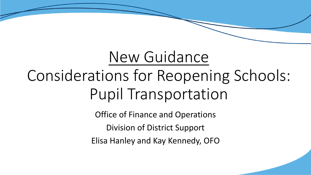# New Guidance Considerations for Reopening Schools: Pupil Transportation

Office of Finance and Operations Division of District Support Elisa Hanley and Kay Kennedy, OFO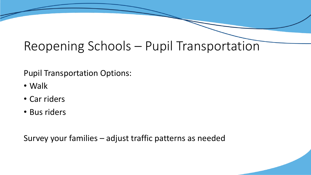Pupil Transportation Options:

- Walk
- Car riders
- Bus riders

Survey your families – adjust traffic patterns as needed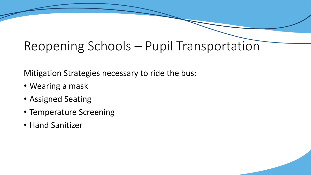Mitigation Strategies necessary to ride the bus:

- Wearing a mask
- Assigned Seating
- Temperature Screening
- Hand Sanitizer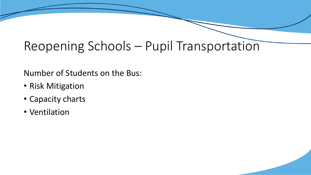Number of Students on the Bus:

- Risk Mitigation
- Capacity charts
- Ventilation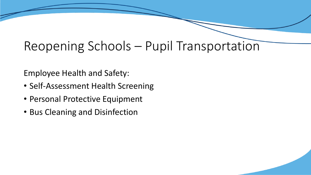Employee Health and Safety:

- Self-Assessment Health Screening
- Personal Protective Equipment
- Bus Cleaning and Disinfection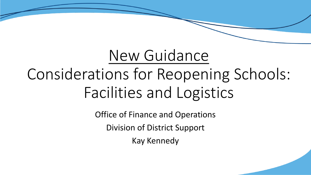# New Guidance Considerations for Reopening Schools: Facilities and Logistics

Office of Finance and Operations Division of District Support Kay Kennedy